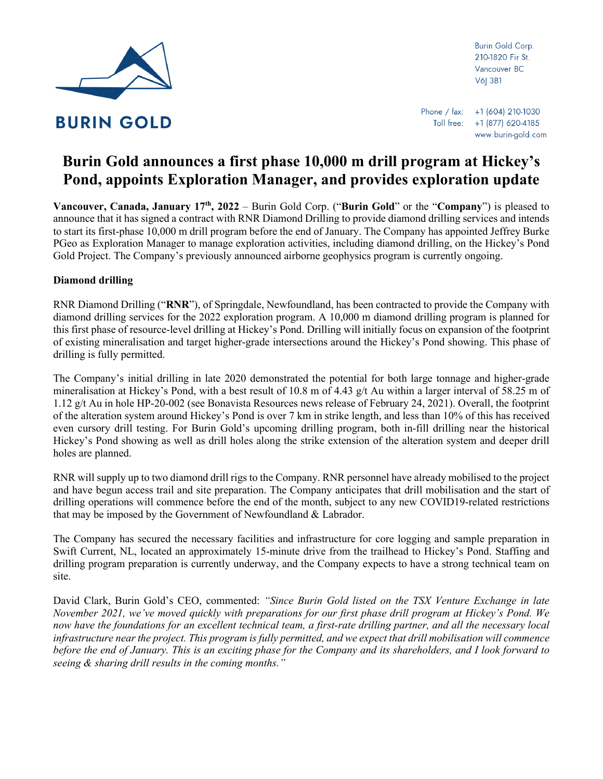

**Burin Gold Corp.** 210-1820 Fir St. Vancouver BC V6| 3B1

# **Burin Gold announces a first phase 10,000 m drill program at Hickey's Pond, appoints Exploration Manager, and provides exploration update**

**Vancouver, Canada, January 17th , 2022** – Burin Gold Corp. ("**Burin Gold**" or the "**Company**") is pleased to announce that it has signed a contract with RNR Diamond Drilling to provide diamond drilling services and intends to start its first-phase 10,000 m drill program before the end of January. The Company has appointed Jeffrey Burke PGeo as Exploration Manager to manage exploration activities, including diamond drilling, on the Hickey's Pond Gold Project. The Company's previously announced airborne geophysics program is currently ongoing.

# **Diamond drilling**

RNR Diamond Drilling ("**RNR**"), of Springdale, Newfoundland, has been contracted to provide the Company with diamond drilling services for the 2022 exploration program. A 10,000 m diamond drilling program is planned for this first phase of resource-level drilling at Hickey's Pond. Drilling will initially focus on expansion of the footprint of existing mineralisation and target higher-grade intersections around the Hickey's Pond showing. This phase of drilling is fully permitted.

The Company's initial drilling in late 2020 demonstrated the potential for both large tonnage and higher-grade mineralisation at Hickey's Pond, with a best result of  $10.8$  m of  $4.43$  g/t Au within a larger interval of 58.25 m of 1.12 g/t Au in hole HP-20-002 (see Bonavista Resources news release of February 24, 2021). Overall, the footprint of the alteration system around Hickey's Pond is over 7 km in strike length, and less than 10% of this has received even cursory drill testing. For Burin Gold's upcoming drilling program, both in-fill drilling near the historical Hickey's Pond showing as well as drill holes along the strike extension of the alteration system and deeper drill holes are planned.

RNR will supply up to two diamond drill rigs to the Company. RNR personnel have already mobilised to the project and have begun access trail and site preparation. The Company anticipates that drill mobilisation and the start of drilling operations will commence before the end of the month, subject to any new COVID19-related restrictions that may be imposed by the Government of Newfoundland & Labrador.

The Company has secured the necessary facilities and infrastructure for core logging and sample preparation in Swift Current, NL, located an approximately 15-minute drive from the trailhead to Hickey's Pond. Staffing and drilling program preparation is currently underway, and the Company expects to have a strong technical team on site.

David Clark, Burin Gold's CEO, commented: *"Since Burin Gold listed on the TSX Venture Exchange in late November 2021, we've moved quickly with preparations for our first phase drill program at Hickey's Pond. We now have the foundations for an excellent technical team, a first-rate drilling partner, and all the necessary local infrastructure near the project. This program is fully permitted, and we expect that drill mobilisation will commence before the end of January. This is an exciting phase for the Company and its shareholders, and I look forward to seeing & sharing drill results in the coming months."*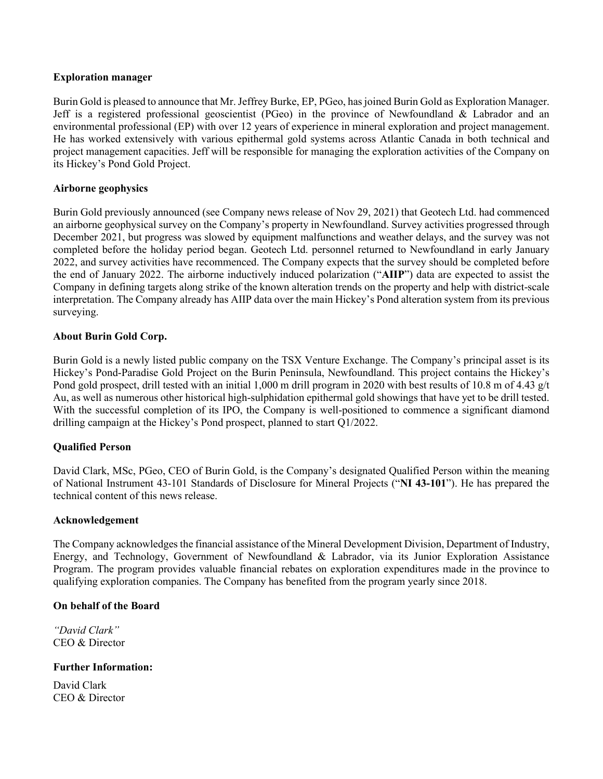#### **Exploration manager**

Burin Gold is pleased to announce that Mr. Jeffrey Burke, EP, PGeo, has joined Burin Gold as Exploration Manager. Jeff is a registered professional geoscientist (PGeo) in the province of Newfoundland  $\&$  Labrador and an environmental professional (EP) with over 12 years of experience in mineral exploration and project management. He has worked extensively with various epithermal gold systems across Atlantic Canada in both technical and project management capacities. Jeff will be responsible for managing the exploration activities of the Company on its Hickey's Pond Gold Project.

### **Airborne geophysics**

Burin Gold previously announced (see Company news release of Nov 29, 2021) that Geotech Ltd. had commenced an airborne geophysical survey on the Company's property in Newfoundland. Survey activities progressed through December 2021, but progress was slowed by equipment malfunctions and weather delays, and the survey was not completed before the holiday period began. Geotech Ltd. personnel returned to Newfoundland in early January 2022, and survey activities have recommenced. The Company expects that the survey should be completed before the end of January 2022. The airborne inductively induced polarization ("**AIIP**") data are expected to assist the Company in defining targets along strike of the known alteration trends on the property and help with district-scale interpretation. The Company already has AIIP data over the main Hickey's Pond alteration system from its previous surveying.

# **About Burin Gold Corp.**

Burin Gold is a newly listed public company on the TSX Venture Exchange. The Company's principal asset is its Hickey's Pond-Paradise Gold Project on the Burin Peninsula, Newfoundland. This project contains the Hickey's Pond gold prospect, drill tested with an initial 1,000 m drill program in 2020 with best results of 10.8 m of 4.43 g/t Au, as well as numerous other historical high-sulphidation epithermal gold showings that have yet to be drill tested. With the successful completion of its IPO, the Company is well-positioned to commence a significant diamond drilling campaign at the Hickey's Pond prospect, planned to start Q1/2022.

#### **Qualified Person**

David Clark, MSc, PGeo, CEO of Burin Gold, is the Company's designated Qualified Person within the meaning of National Instrument 43-101 Standards of Disclosure for Mineral Projects ("**NI 43-101**"). He has prepared the technical content of this news release.

#### **Acknowledgement**

The Company acknowledges the financial assistance of the Mineral Development Division, Department of Industry, Energy, and Technology, Government of Newfoundland & Labrador, via its Junior Exploration Assistance Program. The program provides valuable financial rebates on exploration expenditures made in the province to qualifying exploration companies. The Company has benefited from the program yearly since 2018.

### **On behalf of the Board**

*"David Clark"* CEO & Director

#### **Further Information:**

David Clark CEO & Director